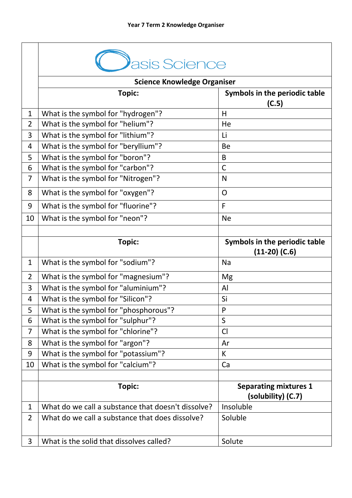|                | asis Science                                       |                                                    |  |
|----------------|----------------------------------------------------|----------------------------------------------------|--|
|                | <b>Science Knowledge Organiser</b>                 |                                                    |  |
|                | Topic:                                             | Symbols in the periodic table<br>(C.5)             |  |
| $\mathbf{1}$   | What is the symbol for "hydrogen"?                 | H                                                  |  |
| $\overline{2}$ | What is the symbol for "helium"?                   | He                                                 |  |
| 3              | What is the symbol for "lithium"?                  | Li                                                 |  |
| $\overline{4}$ | What is the symbol for "beryllium"?                | <b>Be</b>                                          |  |
| 5              | What is the symbol for "boron"?                    | B                                                  |  |
| 6              | What is the symbol for "carbon"?                   | $\mathsf{C}$                                       |  |
| $\overline{7}$ | What is the symbol for "Nitrogen"?                 | N                                                  |  |
| 8              | What is the symbol for "oxygen"?                   | $\overline{O}$                                     |  |
| 9              | What is the symbol for "fluorine"?                 | $\mathsf{F}$                                       |  |
| 10             | What is the symbol for "neon"?                     | <b>Ne</b>                                          |  |
|                |                                                    |                                                    |  |
|                | Topic:                                             | Symbols in the periodic table<br>$(11-20)$ (C.6)   |  |
| $\mathbf{1}$   | What is the symbol for "sodium"?                   | Na                                                 |  |
| $\overline{2}$ | What is the symbol for "magnesium"?                | Mg                                                 |  |
| 3              | What is the symbol for "aluminium"?                | AI                                                 |  |
| $\overline{4}$ | What is the symbol for "Silicon"?                  | Si                                                 |  |
| 5              | What is the symbol for "phosphorous"?              | P                                                  |  |
| 6              | What is the symbol for "sulphur"?                  | S                                                  |  |
| $\overline{7}$ | What is the symbol for "chlorine"?                 | Cl                                                 |  |
| 8              | What is the symbol for "argon"?                    | Ar                                                 |  |
| 9              | What is the symbol for "potassium"?                | K                                                  |  |
| 10             | What is the symbol for "calcium"?                  | Ca                                                 |  |
|                | <b>Topic:</b>                                      | <b>Separating mixtures 1</b><br>(solubility) (C.7) |  |
| $\mathbf{1}$   | What do we call a substance that doesn't dissolve? | Insoluble                                          |  |
| $\overline{2}$ | What do we call a substance that does dissolve?    | Soluble                                            |  |
| 3              | What is the solid that dissolves called?           | Solute                                             |  |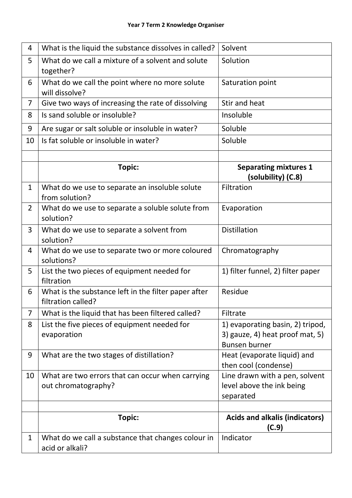| 4              | What is the liquid the substance dissolves in called?                      | Solvent                                                                                     |
|----------------|----------------------------------------------------------------------------|---------------------------------------------------------------------------------------------|
| 5              | What do we call a mixture of a solvent and solute<br>together?             | Solution                                                                                    |
| 6              | What do we call the point where no more solute<br>will dissolve?           | Saturation point                                                                            |
| $\overline{7}$ | Give two ways of increasing the rate of dissolving                         | Stir and heat                                                                               |
| 8              | Is sand soluble or insoluble?                                              | Insoluble                                                                                   |
| 9              | Are sugar or salt soluble or insoluble in water?                           | Soluble                                                                                     |
| 10             | Is fat soluble or insoluble in water?                                      | Soluble                                                                                     |
|                | Topic:                                                                     | <b>Separating mixtures 1</b>                                                                |
| $\mathbf{1}$   | What do we use to separate an insoluble solute                             | (solubility) (C.8)<br>Filtration                                                            |
|                | from solution?                                                             |                                                                                             |
| $\overline{2}$ | What do we use to separate a soluble solute from<br>solution?              | Evaporation                                                                                 |
| 3              | What do we use to separate a solvent from<br>solution?                     | <b>Distillation</b>                                                                         |
| 4              | What do we use to separate two or more coloured<br>solutions?              | Chromatography                                                                              |
| 5              | List the two pieces of equipment needed for<br>filtration                  | 1) filter funnel, 2) filter paper                                                           |
| 6              | What is the substance left in the filter paper after<br>filtration called? | Residue                                                                                     |
| 7              | What is the liquid that has been filtered called?                          | Filtrate                                                                                    |
| 8              | List the five pieces of equipment needed for<br>evaporation                | 1) evaporating basin, 2) tripod,<br>3) gauze, 4) heat proof mat, 5)<br><b>Bunsen burner</b> |
| 9              | What are the two stages of distillation?                                   | Heat (evaporate liquid) and<br>then cool (condense)                                         |
| 10             | What are two errors that can occur when carrying<br>out chromatography?    | Line drawn with a pen, solvent<br>level above the ink being<br>separated                    |
|                |                                                                            |                                                                                             |
|                | Topic:                                                                     | <b>Acids and alkalis (indicators)</b><br>(C.9)                                              |
| $\mathbf 1$    | What do we call a substance that changes colour in<br>acid or alkali?      | Indicator                                                                                   |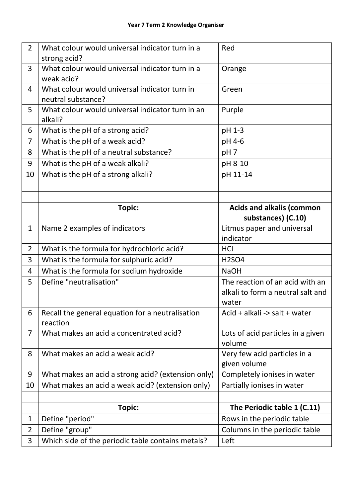| $\overline{2}$ | What colour would universal indicator turn in a               | Red                                          |
|----------------|---------------------------------------------------------------|----------------------------------------------|
|                | strong acid?                                                  |                                              |
| $\overline{3}$ | What colour would universal indicator turn in a<br>weak acid? | Orange                                       |
| 4              | What colour would universal indicator turn in                 | Green                                        |
|                | neutral substance?                                            |                                              |
| 5              | What colour would universal indicator turn in an              | Purple                                       |
|                | alkali?                                                       |                                              |
| 6              | What is the pH of a strong acid?                              | pH 1-3                                       |
| $\overline{7}$ | What is the pH of a weak acid?                                | pH 4-6                                       |
| 8              | What is the pH of a neutral substance?                        | pH <sub>7</sub>                              |
| 9              | What is the pH of a weak alkali?                              | pH 8-10                                      |
| 10             | What is the pH of a strong alkali?                            | pH 11-14                                     |
|                |                                                               |                                              |
|                |                                                               |                                              |
|                | <b>Topic:</b>                                                 | <b>Acids and alkalis (common</b>             |
|                |                                                               | substances) (C.10)                           |
| $\mathbf{1}$   | Name 2 examples of indicators                                 | Litmus paper and universal                   |
|                |                                                               | indicator                                    |
| $\overline{2}$ | What is the formula for hydrochloric acid?                    | <b>HCI</b>                                   |
| 3              | What is the formula for sulphuric acid?                       | <b>H2SO4</b>                                 |
| 4              | What is the formula for sodium hydroxide                      | <b>NaOH</b>                                  |
| 5              | Define "neutralisation"                                       | The reaction of an acid with an              |
|                |                                                               | alkali to form a neutral salt and            |
|                |                                                               | water                                        |
| 6              | Recall the general equation for a neutralisation              | Acid + alkali -> salt + water                |
|                | reaction                                                      |                                              |
| $\overline{7}$ | What makes an acid a concentrated acid?                       | Lots of acid particles in a given            |
|                |                                                               | volume                                       |
| 8              | What makes an acid a weak acid?                               | Very few acid particles in a<br>given volume |
| 9              | What makes an acid a strong acid? (extension only)            | Completely ionises in water                  |
| 10             | What makes an acid a weak acid? (extension only)              | Partially ionises in water                   |
|                |                                                               |                                              |
|                | Topic:                                                        | The Periodic table 1 (C.11)                  |
| 1              | Define "period"                                               | Rows in the periodic table                   |
| $\overline{2}$ | Define "group"                                                | Columns in the periodic table                |
| 3              | Which side of the periodic table contains metals?             | Left                                         |
|                |                                                               |                                              |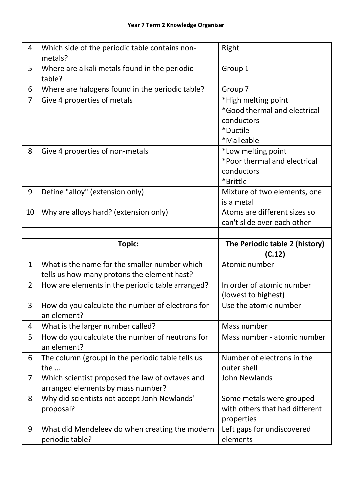| 4              | Which side of the periodic table contains non-<br>metals?                                    | Right                                                                                       |
|----------------|----------------------------------------------------------------------------------------------|---------------------------------------------------------------------------------------------|
| 5              | Where are alkali metals found in the periodic<br>table?                                      | Group 1                                                                                     |
| 6              | Where are halogens found in the periodic table?                                              | Group 7                                                                                     |
| $\overline{7}$ | Give 4 properties of metals                                                                  | *High melting point<br>*Good thermal and electrical<br>conductors<br>*Ductile<br>*Malleable |
| 8              | Give 4 properties of non-metals                                                              | *Low melting point<br>*Poor thermal and electrical<br>conductors<br>*Brittle                |
| 9              | Define "alloy" (extension only)                                                              | Mixture of two elements, one<br>is a metal                                                  |
| 10             | Why are alloys hard? (extension only)                                                        | Atoms are different sizes so<br>can't slide over each other                                 |
|                |                                                                                              |                                                                                             |
|                |                                                                                              |                                                                                             |
|                | <b>Topic:</b>                                                                                | The Periodic table 2 (history)<br>(C.12)                                                    |
| $\mathbf{1}$   | What is the name for the smaller number which<br>tells us how many protons the element hast? | Atomic number                                                                               |
| $\overline{2}$ | How are elements in the periodic table arranged?                                             | In order of atomic number<br>(lowest to highest)                                            |
| 3              | How do you calculate the number of electrons for<br>an element?                              | Use the atomic number                                                                       |
| 4              | What is the larger number called?                                                            | Mass number                                                                                 |
| 5              | How do you calculate the number of neutrons for<br>an element?                               | Mass number - atomic number                                                                 |
| 6              | The column (group) in the periodic table tells us<br>the                                     | Number of electrons in the<br>outer shell                                                   |
| $\overline{7}$ | Which scientist proposed the law of ovtaves and<br>arranged elements by mass number?         | John Newlands                                                                               |
| 8              | Why did scientists not accept Jonh Newlands'<br>proposal?                                    | Some metals were grouped<br>with others that had different<br>properties                    |